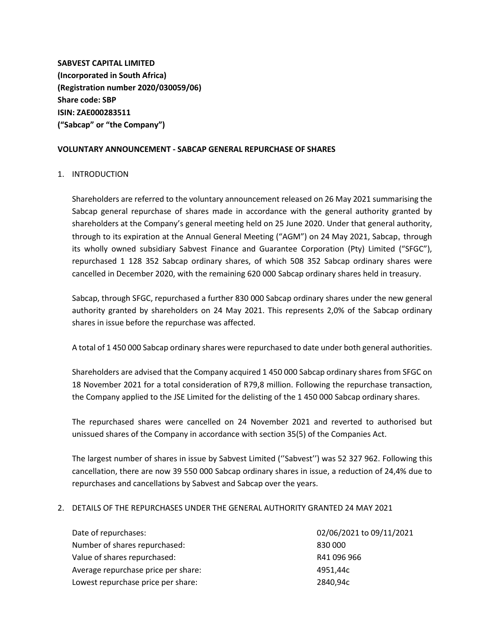**SABVEST CAPITAL LIMITED (Incorporated in South Africa) (Registration number 2020/030059/06) Share code: SBP ISIN: ZAE000283511 ("Sabcap" or "the Company")**

## **VOLUNTARY ANNOUNCEMENT - SABCAP GENERAL REPURCHASE OF SHARES**

## 1. INTRODUCTION

Shareholders are referred to the voluntary announcement released on 26 May 2021 summarising the Sabcap general repurchase of shares made in accordance with the general authority granted by shareholders at the Company's general meeting held on 25 June 2020. Under that general authority, through to its expiration at the Annual General Meeting ("AGM") on 24 May 2021, Sabcap, through its wholly owned subsidiary Sabvest Finance and Guarantee Corporation (Pty) Limited ("SFGC"), repurchased 1 128 352 Sabcap ordinary shares, of which 508 352 Sabcap ordinary shares were cancelled in December 2020, with the remaining 620 000 Sabcap ordinary shares held in treasury.

Sabcap, through SFGC, repurchased a further 830 000 Sabcap ordinary shares under the new general authority granted by shareholders on 24 May 2021. This represents 2,0% of the Sabcap ordinary shares in issue before the repurchase was affected.

A total of 1 450 000 Sabcap ordinary shares were repurchased to date under both general authorities.

Shareholders are advised that the Company acquired 1 450 000 Sabcap ordinary shares from SFGC on 18 November 2021 for a total consideration of R79,8 million. Following the repurchase transaction, the Company applied to the JSE Limited for the delisting of the 1 450 000 Sabcap ordinary shares.

The repurchased shares were cancelled on 24 November 2021 and reverted to authorised but unissued shares of the Company in accordance with section 35(5) of the Companies Act.

The largest number of shares in issue by Sabvest Limited (''Sabvest'') was 52 327 962. Following this cancellation, there are now 39 550 000 Sabcap ordinary shares in issue, a reduction of 24,4% due to repurchases and cancellations by Sabvest and Sabcap over the years.

## 2. DETAILS OF THE REPURCHASES UNDER THE GENERAL AUTHORITY GRANTED 24 MAY 2021

| Date of repurchases:                | 02/06/2021 to 09/11/2021 |
|-------------------------------------|--------------------------|
| Number of shares repurchased:       | 830 000                  |
| Value of shares repurchased:        | R41 096 966              |
| Average repurchase price per share: | 4951.44c                 |
| Lowest repurchase price per share:  | 2840,94c                 |